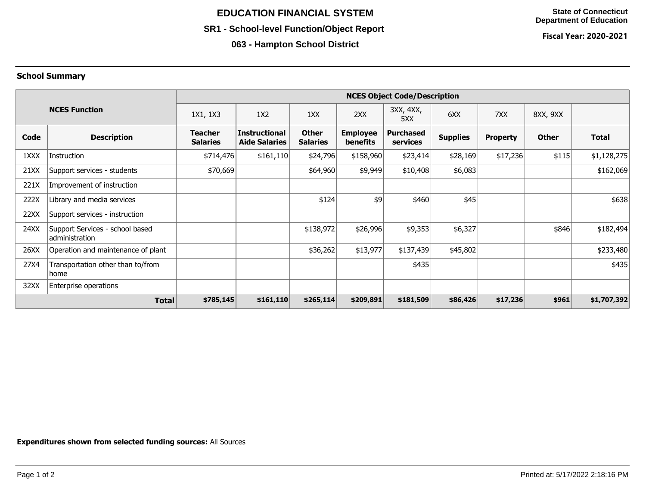# **EDUCATION FINANCIAL SYSTEM**

### **SR1 - School-level Function/Object Report**

**063 - Hampton School District**

**Fiscal Year: 2020-2021**

#### **School Summary**

|                      |                                                   | <b>NCES Object Code/Description</b> |                                              |                                 |                                    |                              |                 |                 |              |              |
|----------------------|---------------------------------------------------|-------------------------------------|----------------------------------------------|---------------------------------|------------------------------------|------------------------------|-----------------|-----------------|--------------|--------------|
| <b>NCES Function</b> |                                                   | 1X1, 1X3                            | 1X2                                          | 1XX                             | 2XX                                | 3XX, 4XX,<br>5XX             | 6XX             | 7XX             | 8XX, 9XX     |              |
| Code                 | <b>Description</b>                                | <b>Teacher</b><br><b>Salaries</b>   | <b>Instructional</b><br><b>Aide Salaries</b> | <b>Other</b><br><b>Salaries</b> | <b>Employee</b><br><b>benefits</b> | <b>Purchased</b><br>services | <b>Supplies</b> | <b>Property</b> | <b>Other</b> | <b>Total</b> |
| 1XXX                 | Instruction                                       | \$714,476                           | \$161,110                                    | \$24,796                        | \$158,960                          | \$23,414                     | \$28,169        | \$17,236        | \$115        | \$1,128,275  |
| 21XX                 | Support services - students                       | \$70,669                            |                                              | \$64,960                        | \$9,949                            | \$10,408                     | \$6,083         |                 |              | \$162,069    |
| 221X                 | Improvement of instruction                        |                                     |                                              |                                 |                                    |                              |                 |                 |              |              |
| 222X                 | Library and media services                        |                                     |                                              | \$124                           | 49                                 | \$460                        | \$45            |                 |              | \$638        |
| 22XX                 | Support services - instruction                    |                                     |                                              |                                 |                                    |                              |                 |                 |              |              |
| 24XX                 | Support Services - school based<br>administration |                                     |                                              | \$138,972                       | \$26,996                           | \$9,353                      | \$6,327         |                 | \$846        | \$182,494    |
| 26XX                 | Operation and maintenance of plant                |                                     |                                              | \$36,262                        | \$13,977                           | \$137,439                    | \$45,802        |                 |              | \$233,480    |
| 27X4                 | Transportation other than to/from<br>home         |                                     |                                              |                                 |                                    | \$435                        |                 |                 |              | \$435        |
| 32XX                 | Enterprise operations                             |                                     |                                              |                                 |                                    |                              |                 |                 |              |              |
| <b>Total</b>         |                                                   | \$785,145                           | \$161,110                                    | \$265,114                       | \$209,891                          | \$181,509                    | \$86,426        | \$17,236        | \$961        | \$1,707,392  |

**Expenditures shown from selected funding sources:** All Sources